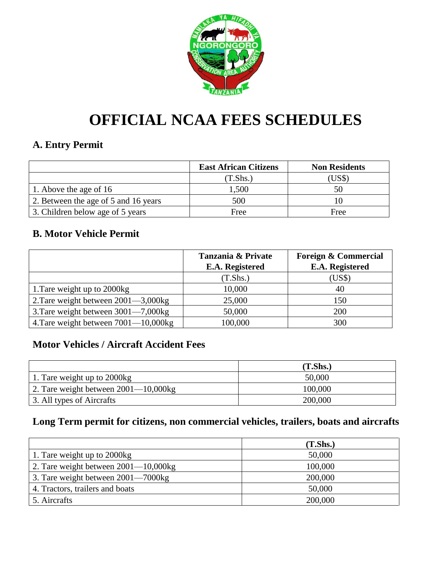

# **OFFICIAL NCAA FEES SCHEDULES**

# **A. Entry Permit**

|                                      | <b>East African Citizens</b> | <b>Non Residents</b> |
|--------------------------------------|------------------------------|----------------------|
|                                      | (T.Shs.)                     | $\text{USS}$         |
| 1. Above the age of 16               | 1,500                        | 50                   |
| 2. Between the age of 5 and 16 years | 500                          |                      |
| 3. Children below age of 5 years     | Free                         | Free                 |

# **B. Motor Vehicle Permit**

|                                          | Tanzania & Private | <b>Foreign &amp; Commercial</b> |
|------------------------------------------|--------------------|---------------------------------|
|                                          | E.A. Registered    | E.A. Registered                 |
|                                          | (T.Shs.)           | (US\$)                          |
| 1. Tare weight up to 2000kg              | 10,000             | 40                              |
| 2. Tare weight between $2001 - 3,000$ kg | 25,000             | 150                             |
| 3. Tare weight between 3001—7,000kg      | 50,000             | 200                             |
| 4. Tare weight between 7001-10,000kg     | 100,000            | 300                             |

# **Motor Vehicles / Aircraft Accident Fees**

|                                           | (T.Shs.) |
|-------------------------------------------|----------|
| 1. Tare weight up to 2000kg               | 50,000   |
| 2. Tare weight between $2001 - 10,000$ kg | 100,000  |
| 3. All types of Aircrafts                 | 200,000  |

# **Long Term permit for citizens, non commercial vehicles, trailers, boats and aircrafts**

|                                           | (T.Shs.) |
|-------------------------------------------|----------|
| 1. Tare weight up to 2000kg               | 50,000   |
| 2. Tare weight between $2001 - 10,000$ kg | 100,000  |
| 3. Tare weight between 2001—7000kg        | 200,000  |
| 4. Tractors, trailers and boats           | 50,000   |
| 5. Aircrafts                              | 200,000  |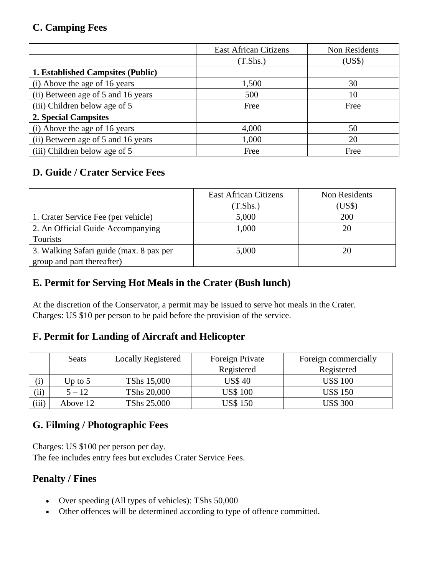# **C. Camping Fees**

|                                          | <b>East African Citizens</b> | Non Residents |
|------------------------------------------|------------------------------|---------------|
|                                          | (T.Shs.)                     | (US\$)        |
| <b>1. Established Campsites (Public)</b> |                              |               |
| (i) Above the age of 16 years            | 1,500                        | 30            |
| (ii) Between age of 5 and 16 years       | 500                          | 10            |
| (iii) Children below age of 5            | Free                         | Free          |
| 2. Special Campsites                     |                              |               |
| (i) Above the age of 16 years            | 4,000                        | 50            |
| (ii) Between age of 5 and 16 years       | 1,000                        | 20            |
| (iii) Children below age of 5            | Free                         | Free          |

# **D. Guide / Crater Service Fees**

|                                         | <b>East African Citizens</b> | Non Residents |
|-----------------------------------------|------------------------------|---------------|
|                                         | (T.Shs.)                     | (US\$)        |
| 1. Crater Service Fee (per vehicle)     | 5,000                        | 200           |
| 2. An Official Guide Accompanying       | 1,000                        | 20            |
| Tourists                                |                              |               |
| 3. Walking Safari guide (max. 8 pax per | 5,000                        | 20            |
| group and part thereafter)              |                              |               |

# **E. Permit for Serving Hot Meals in the Crater (Bush lunch)**

At the discretion of the Conservator, a permit may be issued to serve hot meals in the Crater. Charges: US \$10 per person to be paid before the provision of the service.

## **F. Permit for Landing of Aircraft and Helicopter**

|            | <b>Seats</b> | <b>Locally Registered</b> | Foreign Private | Foreign commercially |
|------------|--------------|---------------------------|-----------------|----------------------|
|            |              |                           | Registered      | Registered           |
|            | Up to $5$    | TShs 15,000               | <b>US\$40</b>   | <b>US\$ 100</b>      |
| $\rm (ii)$ | $5 - 12$     | TShs 20,000               | <b>US\$ 100</b> | <b>US\$150</b>       |
| (iii)      | Above 12     | TShs 25,000               | <b>US\$150</b>  | <b>US\$ 300</b>      |

# **G. Filming / Photographic Fees**

Charges: US \$100 per person per day. The fee includes entry fees but excludes Crater Service Fees.

## **Penalty / Fines**

- Over speeding (All types of vehicles): TShs 50,000
- Other offences will be determined according to type of offence committed.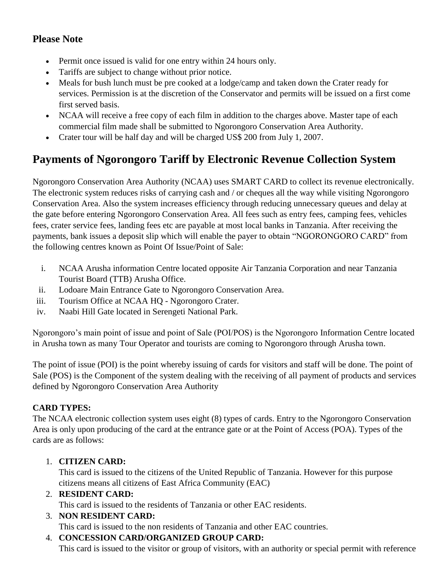# **Please Note**

- Permit once issued is valid for one entry within 24 hours only.
- Tariffs are subject to change without prior notice.
- Meals for bush lunch must be pre cooked at a lodge/camp and taken down the Crater ready for services. Permission is at the discretion of the Conservator and permits will be issued on a first come first served basis.
- NCAA will receive a free copy of each film in addition to the charges above. Master tape of each commercial film made shall be submitted to Ngorongoro Conservation Area Authority.
- Crater tour will be half day and will be charged US\$ 200 from July 1, 2007.

# **Payments of Ngorongoro Tariff by Electronic Revenue Collection System**

Ngorongoro Conservation Area Authority (NCAA) uses SMART CARD to collect its revenue electronically. The electronic system reduces risks of carrying cash and / or cheques all the way while visiting Ngorongoro Conservation Area. Also the system increases efficiency through reducing unnecessary queues and delay at the gate before entering Ngorongoro Conservation Area. All fees such as entry fees, camping fees, vehicles fees, crater service fees, landing fees etc are payable at most local banks in Tanzania. After receiving the payments, bank issues a deposit slip which will enable the payer to obtain "NGORONGORO CARD" from the following centres known as Point Of Issue/Point of Sale:

- i. NCAA Arusha information Centre located opposite Air Tanzania Corporation and near Tanzania Tourist Board (TTB) Arusha Office.
- ii. Lodoare Main Entrance Gate to Ngorongoro Conservation Area.
- iii. Tourism Office at NCAA HQ Ngorongoro Crater.
- iv. Naabi Hill Gate located in Serengeti National Park.

Ngorongoro's main point of issue and point of Sale (POI/POS) is the Ngorongoro Information Centre located in Arusha town as many Tour Operator and tourists are coming to Ngorongoro through Arusha town.

The point of issue (POI) is the point whereby issuing of cards for visitors and staff will be done. The point of Sale (POS) is the Component of the system dealing with the receiving of all payment of products and services defined by Ngorongoro Conservation Area Authority

### **CARD TYPES:**

The NCAA electronic collection system uses eight (8) types of cards. Entry to the Ngorongoro Conservation Area is only upon producing of the card at the entrance gate or at the Point of Access (POA). Types of the cards are as follows:

### 1. **CITIZEN CARD:**

This card is issued to the citizens of the United Republic of Tanzania. However for this purpose citizens means all citizens of East Africa Community (EAC)

### 2. **RESIDENT CARD:**

This card is issued to the residents of Tanzania or other EAC residents.

### 3. **NON RESIDENT CARD:**

This card is issued to the non residents of Tanzania and other EAC countries.

### 4. **CONCESSION CARD/ORGANIZED GROUP CARD:**

This card is issued to the visitor or group of visitors, with an authority or special permit with reference